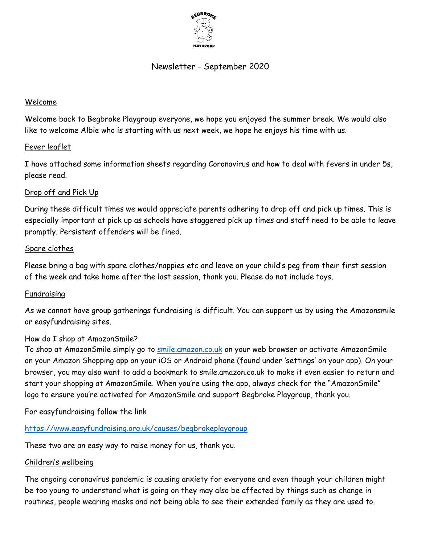

# Newsletter - September 2020

### Welcome

Welcome back to Begbroke Playgroup everyone, we hope you enjoyed the summer break. We would also like to welcome Albie who is starting with us next week, we hope he enjoys his time with us.

# Fever leaflet

I have attached some information sheets regarding Coronavirus and how to deal with fevers in under 5s, please read.

# Drop off and Pick Up

During these difficult times we would appreciate parents adhering to drop off and pick up times. This is especially important at pick up as schools have staggered pick up times and staff need to be able to leave promptly. Persistent offenders will be fined.

#### Spare clothes

Please bring a bag with spare clothes/nappies etc and leave on your child's peg from their first session of the week and take home after the last session, thank you. Please do not include toys.

#### Fundraising

As we cannot have group gatherings fundraising is difficult. You can support us by using the Amazonsmile or easyfundraising sites.

#### How do I shop at AmazonSmile?

To shop at AmazonSmile simply go to [smile.amazon.co.uk](https://smile.amazon.co.uk/) on your web browser or activate AmazonSmile on your Amazon Shopping app on your iOS or Android phone (found under 'settings' on your app). On your browser, you may also want to add a bookmark to smile.amazon.co.uk to make it even easier to return and start your shopping at AmazonSmile. When you're using the app, always check for the "AmazonSmile" logo to ensure you're activated for AmazonSmile and support Begbroke Playgroup, thank you.

For easyfundraising follow the link

<https://www.easyfundraising.org.uk/causes/begbrokeplaygroup>

These two are an easy way to raise money for us, thank you.

#### Children's wellbeing

The ongoing coronavirus pandemic is causing anxiety for everyone and even though your children might be too young to understand what is going on they may also be affected by things such as change in routines, people wearing masks and not being able to see their extended family as they are used to.